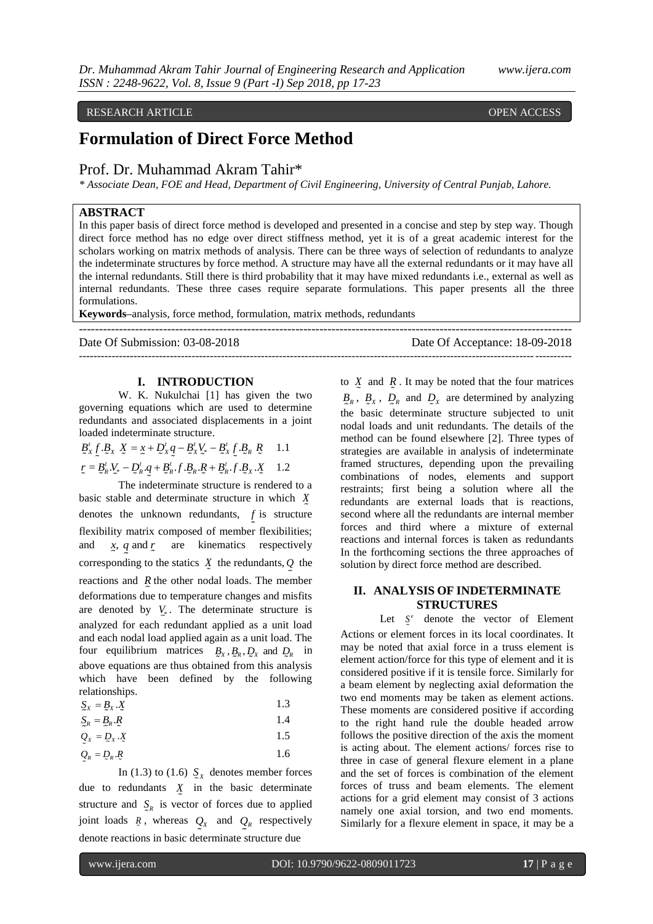# RESEARCH ARTICLE **CONTRACT ARTICLE**

# **Formulation of Direct Force Method**

# Prof. Dr. Muhammad Akram Tahir\*

*\* Associate Dean, FOE and Head, Department of Civil Engineering, University of Central Punjab, Lahore.*

# **ABSTRACT**

In this paper basis of direct force method is developed and presented in a concise and step by step way. Though direct force method has no edge over direct stiffness method, yet it is of a great academic interest for the scholars working on matrix methods of analysis. There can be three ways of selection of redundants to analyze the indeterminate structures by force method. A structure may have all the external redundants or it may have all the internal redundants. Still there is third probability that it may have mixed redundants i.e., external as well as internal redundants. These three cases require separate formulations. This paper presents all the three formulations.

---------------------------------------------------------------------------------------------------------------------------

**Keywords–**analysis, force method, formulation, matrix methods, redundants

Date Of Submission: 03-08-2018 Date Of Acceptance: 18-09-2018 ---------------------------------------------------------------------------------------------------------------------------------------

# **I. INTRODUCTION**

W. K. Nukulchai [1] has given the two governing equations which are used to determine redundants and associated displacements in a joint loaded indeterminate structure.

$$
B'_{x} \mathcal{L} \cdot B_{x} \mathcal{X} = x + D'_{x} q - B'_{x} V_{x} - B'_{x} \mathcal{L} \cdot B_{R} \mathcal{R} \quad 1.1
$$
  

$$
r = B'_{R} \cdot V_{x} - D'_{R} \cdot q + B'_{R} \cdot f \cdot B_{R} \cdot R + B'_{R} \cdot f \cdot B_{x} \cdot \mathcal{X} \quad 1.2
$$

The indeterminate structure is rendered to a basic stable and determinate structure in which *X* denotes the unknown redundants, *f* is structure flexibility matrix composed of member flexibilities; and *x, q* and *r* are kinematics respectively corresponding to the statics  $\overline{X}$  the redundants,  $\overline{Q}$  the reactions and *R* the other nodal loads. The member deformations due to temperature changes and misfits are denoted by  $V_*$ . The determinate structure is analyzed for each redundant applied as a unit load and each nodal load applied again as a unit load. The four equilibrium matrices  $B_x$ ,  $B_x$ ,  $D_x$  and  $D_x$  in above equations are thus obtained from this analysis which have been defined by the following relationships.

$$
S_X = B_X \cdot X \tag{1.3}
$$

$$
S_R = B_R . R \tag{1.4}
$$

$$
Q_x = Q_x \cdot X \tag{1.5}
$$

$$
Q_R = Q_R \cdot R \tag{1.6}
$$

In (1.3) to (1.6)  $\sum_{x}$  denotes member forces due to redundants *X* in the basic determinate structure and  $S_R$  is vector of forces due to applied joint loads  $\bar{R}$ , whereas  $Q_X$  and  $Q_R$  respectively denote reactions in basic determinate structure due

to  $\overline{X}$  and  $\overline{R}$ . It may be noted that the four matrices  $B_R$ ,  $B_X$ ,  $D_R$  and  $D_X$  are determined by analyzing the basic determinate structure subjected to unit nodal loads and unit redundants. The details of the method can be found elsewhere [2]. Three types of strategies are available in analysis of indeterminate framed structures, depending upon the prevailing combinations of nodes, elements and support restraints; first being a solution where all the redundants are external loads that is reactions, second where all the redundants are internal member forces and third where a mixture of external reactions and internal forces is taken as redundants In the forthcoming sections the three approaches of solution by direct force method are described.

# **II. ANALYSIS OF INDETERMINATE STRUCTURES**

Let  $S^e$  denote the vector of Element Actions or element forces in its local coordinates. It may be noted that axial force in a truss element is element action/force for this type of element and it is considered positive if it is tensile force. Similarly for a beam element by neglecting axial deformation the two end moments may be taken as element actions. These moments are considered positive if according to the right hand rule the double headed arrow follows the positive direction of the axis the moment is acting about. The element actions/ forces rise to three in case of general flexure element in a plane and the set of forces is combination of the element forces of truss and beam elements. The element actions for a grid element may consist of 3 actions namely one axial torsion, and two end moments. Similarly for a flexure element in space, it may be a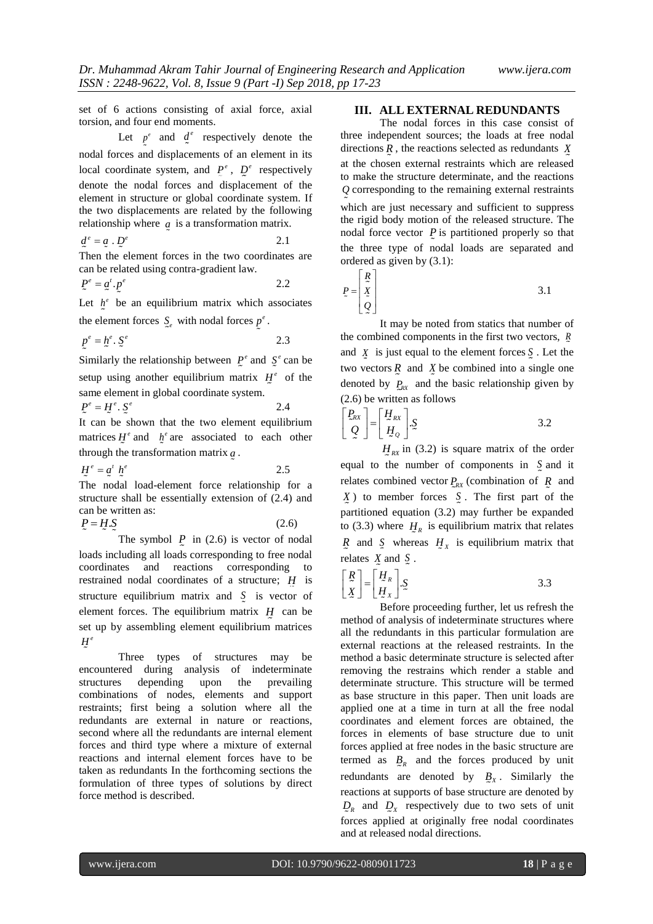set of 6 actions consisting of axial force, axial torsion, and four end moments.

Let  $p^e$  and  $q^e$  respectively denote the nodal forces and displacements of an element in its local coordinate system, and  $P^e$ ,  $Q^e$  respectively denote the nodal forces and displacement of the element in structure or global coordinate system. If the two displacements are related by the following relationship where *a* is a transformation matrix.

$$
\underline{d}^e = \underline{a} \cdot \underline{D}^e \tag{2.1}
$$

Then the element forces in the two coordinates are can be related using contra-gradient law.

$$
P^e = \underline{a}^t \cdot P^e \tag{2.2}
$$

Let  $h^e$  be an equilibrium matrix which associates the element forces  $\int_{e}$  with nodal forces  $p^e$ .

$$
p^e = h^e \cdot S^e \tag{2.3}
$$

Similarly the relationship between  $P^e$  and  $S^e$  can be setup using another equilibrium matrix  $H^e$  of the same element in global coordinate system.

$$
P^e = H^e \cdot S^e \tag{2.4}
$$

It can be shown that the two element equilibrium matrices  $H^e$  and  $h^e$  are associated to each other through the transformation matrix *a* .

$$
H^e = a^t h^e \t\t 2.5
$$

The nodal load-element force relationship for a structure shall be essentially extension of (2.4) and can be written as:

 $P = H.S$ (2.6)

The symbol  $P$  in (2.6) is vector of nodal loads including all loads corresponding to free nodal coordinates and reactions corresponding to restrained nodal coordinates of a structure; *H* is structure equilibrium matrix and  $\zeta$  is vector of element forces. The equilibrium matrix  $H$  can be set up by assembling element equilibrium matrices  $H^e$ 

Three types of structures may be encountered during analysis of indeterminate structures depending upon the prevailing combinations of nodes, elements and support restraints; first being a solution where all the redundants are external in nature or reactions, second where all the redundants are internal element forces and third type where a mixture of external reactions and internal element forces have to be taken as redundants In the forthcoming sections the formulation of three types of solutions by direct force method is described.

#### **III. ALL EXTERNAL REDUNDANTS**

The nodal forces in this case consist of three independent sources; the loads at free nodal directions *R* , the reactions selected as redundants *X* at the chosen external restraints which are released to make the structure determinate, and the reactions *Q* corresponding to the remaining external restraints which are just necessary and sufficient to suppress the rigid body motion of the released structure. The nodal force vector  $P$  is partitioned properly so that the three type of nodal loads are separated and ordered as given by (3.1):

$$
P = \begin{bmatrix} R \\ \tilde{X} \\ \tilde{Q} \end{bmatrix}
$$
 3.1

It may be noted from statics that number of the combined components in the first two vectors, *R* and  $\overline{X}$  is just equal to the element forces  $\overline{S}$ . Let the two vectors  $\overline{R}$  and  $\overline{X}$  be combined into a single one denoted by  $P_{RX}$  and the basic relationship given by (2.6) be written as follows

$$
\begin{bmatrix} P_{RX} \\ Q \end{bmatrix} = \begin{bmatrix} H_{RX} \\ H_Q \end{bmatrix} . S
$$
 3.2

 $H_{RX}$  in (3.2) is square matrix of the order equal to the number of components in *S* and it relates combined vector  $P_{\text{RX}}$  (combination of  $\bar{R}$  and *X* ) to member forces *S* . The first part of the partitioned equation (3.2) may further be expanded to (3.3) where  $H_R$  is equilibrium matrix that relates  $\overline{R}$  and  $\overline{S}$  whereas  $H_X$  is equilibrium matrix that relates  $\chi$  and  $\zeta$ .

$$
\begin{bmatrix} R \\ \tilde{X} \end{bmatrix} = \begin{bmatrix} H_R \\ H_X \end{bmatrix} . \mathfrak{L}
$$

Before proceeding further, let us refresh the method of analysis of indeterminate structures where all the redundants in this particular formulation are external reactions at the released restraints. In the method a basic determinate structure is selected after removing the restrains which render a stable and determinate structure. This structure will be termed as base structure in this paper. Then unit loads are applied one at a time in turn at all the free nodal coordinates and element forces are obtained, the forces in elements of base structure due to unit forces applied at free nodes in the basic structure are termed as  $B_R$  and the forces produced by unit redundants are denoted by  $B_X$ . Similarly the reactions at supports of base structure are denoted by  $D_R$  and  $D_X$  respectively due to two sets of unit forces applied at originally free nodal coordinates and at released nodal directions.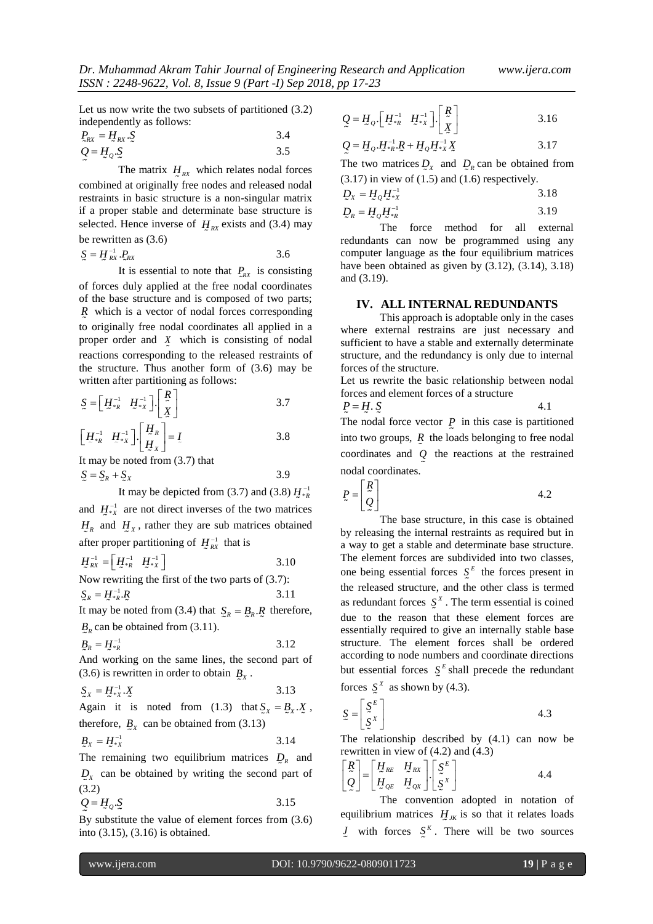Let us now write the two subsets of partitioned (3.2) independently as follows:

$$
P_{RX} = H_{RX} \cdot S
$$
  
 
$$
Q = H_Q \cdot S
$$
  
3.5

The matrix  $H_{RX}$  which relates nodal forces combined at originally free nodes and released nodal restraints in basic structure is a non-singular matrix if a proper stable and determinate base structure is selected. Hence inverse of  $H_{\text{RX}}$  exists and (3.4) may be rewritten as (3.6)

$$
S = H_{\text{RX}}^{-1} \cdot P_{\text{RX}}
$$

It is essential to note that  $P_{\text{RX}}$  is consisting of forces duly applied at the free nodal coordinates of the base structure and is composed of two parts; *R* which is a vector of nodal forces corresponding to originally free nodal coordinates all applied in a proper order and  $\chi$  which is consisting of nodal reactions corresponding to the released restraints of the structure. Thus another form of (3.6) may be written after partitioning as follows:

$$
S = \begin{bmatrix} H_{\ast R}^{-1} & H_{\ast X}^{-1} \end{bmatrix} \begin{bmatrix} R \\ \tilde{X} \end{bmatrix}
$$
  

$$
\begin{bmatrix} H_{\ast R}^{-1} & H_{\ast Y}^{-1} \end{bmatrix} \begin{bmatrix} H_R \\ H_R \end{bmatrix} = I
$$
  
3.8

$$
\begin{bmatrix} H_{\ast R}^{-1} & H_{\ast X}^{-1} \end{bmatrix} \cdot \begin{bmatrix} H_R \\ H_X \end{bmatrix} = I
$$
  
3.8  
It may be noted from (3.7) that

$$
S = S_R + S_X
$$
 3.9  
It may be depicted from (3.7) and (3.8)  $H_{\bullet_R}^{-1}$   
and  $H_{\bullet_X}^{-1}$  are not direct inverses of the two matrices  
 $H_R$  and  $H_X$ , rather they are sub matrices obtained

after proper partitioning of  $H^{-1}_{RX}$  that is

$$
H_{\rm xx}^{-1} = \begin{bmatrix} H_{\rm xx}^{-1} & H_{\rm xx}^{-1} \end{bmatrix} \tag{3.10}
$$

Now rewriting the first of the two parts of (3.7):  $\mathfrak{L}_R = H^{-1}_{*R}.R$ 3.11

It may be noted from (3.4) that  $S_R = B_R \cdot R$  therefore,  $B_R$  can be obtained from (3.11).

$$
B_R = H_{*R}^{-1}
$$
 3.12

And working on the same lines, the second part of  $(3.6)$  is rewritten in order to obtain  $B_x$ .

$$
S_X = H^{-1}_{*X} \cdot X \tag{3.13}
$$

Again it is noted from (1.3) that  $\mathcal{S}_X = \mathcal{B}_X \mathcal{X}$ , therefore,  $B_X$  can be obtained from (3.13)

$$
B_x = H_{\ast x}^{-1}
$$
 3.14

The remaining two equilibrium matrices  $D_R$  and  $D_X$  can be obtained by writing the second part of (3.2)

$$
Q = H_o \cdot S \tag{3.15}
$$

By substitute the value of element forces from (3.6) into (3.15), (3.16) is obtained.

$$
Q = H_Q \left[ H_{*R}^{-1} \quad H_{*X}^{-1} \right] \left[ \begin{array}{c} R \\ \underline{X} \end{array} \right] \tag{3.16}
$$

$$
Q = H_{Q} \cdot H_{*R}^{-1} \cdot R + H_{Q} H_{*X}^{-1} X
$$
 3.17

The two matrices  $Q_X$  and  $Q_R$  can be obtained from  $(3.17)$  in view of  $(1.5)$  and  $(1.6)$  respectively.

$$
D_X = H_Q H_{*X}^{-1}
$$

$$
D_R = H_Q H_{\ast R}^{-1} \tag{3.19}
$$

The force method for all external redundants can now be programmed using any computer language as the four equilibrium matrices have been obtained as given by (3.12), (3.14), 3.18) and (3.19).

## **IV. ALL INTERNAL REDUNDANTS**

This approach is adoptable only in the cases where external restrains are just necessary and sufficient to have a stable and externally determinate structure, and the redundancy is only due to internal forces of the structure.

Let us rewrite the basic relationship between nodal forces and element forces of a structure

$$
P = H \cdot S \tag{4.1}
$$

The nodal force vector  $P$  in this case is partitioned into two groups,  $R$  the loads belonging to free nodal coordinates and *Q* the reactions at the restrained nodal coordinates.

$$
P = \begin{bmatrix} R \\ Q \end{bmatrix} \tag{4.2}
$$

The base structure, in this case is obtained by releasing the internal restraints as required but in a way to get a stable and determinate base structure. The element forces are subdivided into two classes, one being essential forces  $S<sup>E</sup>$  the forces present in the released structure, and the other class is termed as redundant forces  $S^X$ . The term essential is coined due to the reason that these element forces are essentially required to give an internally stable base structure. The element forces shall be ordered according to node numbers and coordinate directions but essential forces  $S^E$  shall precede the redundant

forces  $S^x$  as shown by (4.3).

$$
\mathcal{L} = \begin{bmatrix} \mathcal{S}^E \\ \mathcal{S}^X \end{bmatrix} \tag{4.3}
$$

The relationship described by (4.1) can now be rewritten in view of (4.2) and (4.3)

$$
\begin{bmatrix} R \\ Q \end{bmatrix} = \begin{bmatrix} H_{RE} & H_{RX} \\ H_{QE} & H_{QX} \end{bmatrix} \begin{bmatrix} S^E \\ S^X \end{bmatrix}
$$
 4.4

The convention adopted in notation of equilibrium matrices  $H_{JK}$  is so that it relates loads *J* with forces  $S<sup>K</sup>$ . There will be two sources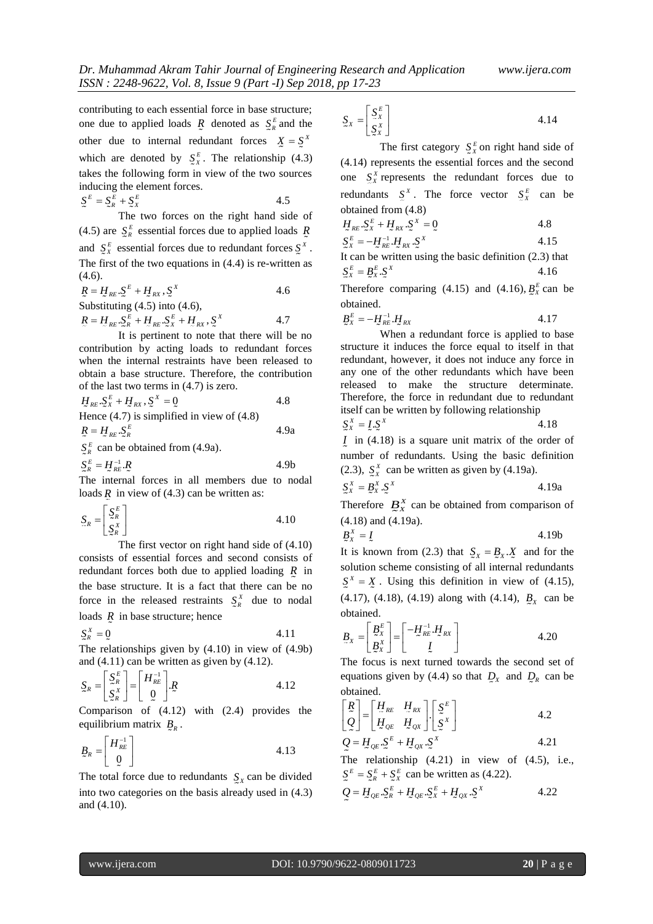contributing to each essential force in base structure; one due to applied loads  $\overline{R}$  denoted as  $S_R^E$  and the other due to internal redundant forces  $X = \Sigma^X$ which are denoted by  $\int_{X}^{E}$ . The relationship (4.3) takes the following form in view of the two sources inducing the element forces.

$$
\mathfrak{L}^E = \mathfrak{L}_R^E + \mathfrak{L}_X^E \tag{4.5}
$$

The two forces on the right hand side of (4.5) are  $S_R^E$  essential forces due to applied loads  $\bar{R}$ and  $S_X^E$  essential forces due to redundant forces  $S_X^X$ . The first of the two equations in (4.4) is re-written as (4.6).

$$
R = H_{RE} \cdot S^{E} + H_{RX} \cdot S^{X}
$$
  
\nSubstituting (4.5) into (4.6),  
\n
$$
R = H_{RE} \cdot S_{R}^{E} + H_{RE} \cdot S_{X}^{E} + H_{RX} \cdot S^{X}
$$
  
\n4.7

It is pertinent to note that there will be no contribution by acting loads to redundant forces when the internal restraints have been released to obtain a base structure. Therefore, the contribution of the last two terms in (4.7) is zero.

$$
H_{RE} \t S_X^E + H_{RX} \t S_X^X = 0
$$
4.8  
Hence (4.7) is simplified in view of (4.8)  

$$
R = H_{RE} \t S_E^E
$$
4.9a

 $S_R^E$  can be obtained from (4.9a).

 $\mathcal{S}_R^E = H_{\mathcal{R}E}^{-1}$  . $R$ 4.9b

The internal forces in all members due to nodal loads  *in view of (4.3) can be written as:* 

$$
\mathbf{S}_R = \begin{bmatrix} \mathbf{S}_R^E \\ \mathbf{S}_R^X \end{bmatrix} \tag{4.10}
$$

The first vector on right hand side of (4.10) consists of essential forces and second consists of redundant forces both due to applied loading *R* in the base structure. It is a fact that there can be no force in the released restraints  $\int_{\alpha}^{X}$  due to nodal loads R in base structure; hence

$$
\mathbf{S}_R^X = \mathbf{Q} \tag{4.11}
$$

The relationships given by (4.10) in view of (4.9b) and (4.11) can be written as given by (4.12).

$$
\mathbf{S}_{R} = \begin{bmatrix} \mathbf{S}_{R}^{E} \\ \mathbf{S}_{R}^{X} \end{bmatrix} = \begin{bmatrix} H_{RE}^{-1} \\ \mathbf{0} \end{bmatrix} \mathbf{R}
$$
 4.12

Comparison of (4.12) with (2.4) provides the equilibrium matrix  $B_R$ .

$$
\underline{B}_R = \begin{bmatrix} H_{RE}^{-1} \\ 0 \end{bmatrix} \tag{4.13}
$$

The total force due to redundants  $S_X$  can be divided into two categories on the basis already used in (4.3) and (4.10).

$$
S_X = \begin{bmatrix} S_X^E \\ S_X^X \end{bmatrix} \tag{4.14}
$$

The first category  $S_X^k$  on right hand side of (4.14) represents the essential forces and the second one  $S_X^X$  represents the redundant forces due to redundants  $S^X$ . The force vector  $S^E_X$  can be obtained from (4.8)

$$
H_{RE} \cdot S_X^E + H_{RX} \cdot S^X = 0
$$

$$
S_X^E = -H_{RE}^{-1} H_{RX} S^X
$$
 4.15

It can be written using the basic definition (2.3) that  
\n
$$
S_x^E = B_x^E S_x^X
$$
\n4.16

Therefore comparing (4.15) and (4.16),  $\underline{B}_{x}^{E}$  can be obtained.

$$
\underline{B}_X^E = -\underline{H}_{RE}^{-1} \cdot \underline{H}_{RX} \tag{4.17}
$$

When a redundant force is applied to base structure it induces the force equal to itself in that redundant, however, it does not induce any force in any one of the other redundants which have been released to make the structure determinate. Therefore, the force in redundant due to redundant itself can be written by following relationship

$$
\begin{array}{l}\n\sum_{x}^{x} = L \cdot \Sigma^{x} \\
I \text{ in (4.18)} is a square unit matrix of the order of\n\end{array}
$$

*I* in (4.18) is a square unit matrix of the order of number of redundants. Using the basic definition (2.3),  $S_X^{\alpha}$  can be written as given by (4.19a).

$$
S_X^X = B_X^X \cdot S_X^X \tag{4.19a}
$$

Therefore  $B_X^X$  can be obtained from comparison of (4.18) and (4.19a).

$$
B_x^X = L \tag{4.19b}
$$

It is known from (2.3) that  $S_X = B_X \cdot X$  and for the solution scheme consisting of all internal redundants  $S^X = X$ . Using this definition in view of (4.15),  $(4.17)$ ,  $(4.18)$ ,  $(4.19)$  along with  $(4.14)$ ,  $B_X$  can be obtained.

$$
\underline{B}_x = \begin{bmatrix} \underline{B}_x^E \\ \underline{B}_x^x \end{bmatrix} = \begin{bmatrix} -H_{RE}^{-1} \cdot H_{RX} \\ I \end{bmatrix}
$$
 4.20

The focus is next turned towards the second set of equations given by (4.4) so that  $D_X$  and  $D_R$  can be obtained.

$$
\begin{bmatrix} \mathcal{R} \\ \mathcal{Q} \end{bmatrix} = \begin{bmatrix} H_{RE} & H_{RX} \\ H_{QE} & H_{QX} \end{bmatrix} \begin{bmatrix} \mathcal{S}^E \\ \mathcal{S}^X \end{bmatrix}
$$
 4.2

$$
Q = H_{QE} S^E + H_{QX} S^X
$$
 4.21

The relationship (4.21) in view of (4.5), i.e.,  $S^E = S^E_R + S^E_X$  can be written as (4.22).

$$
Q = H_{QE} \cdot S_R^E + H_{QE} \cdot S_X^E + H_{QX} \cdot S^X \tag{4.22}
$$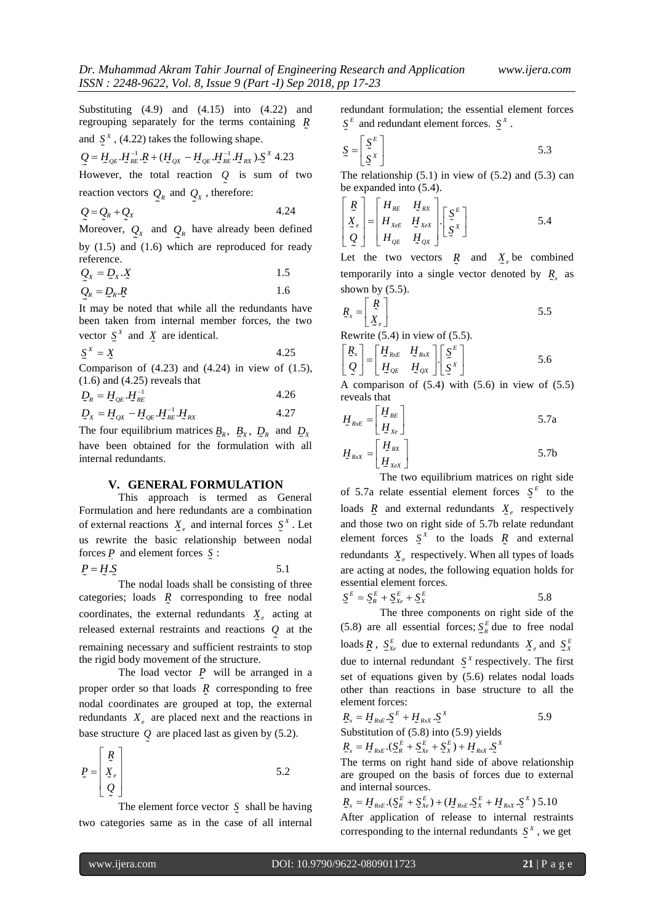Substituting (4.9) and (4.15) into (4.22) and regrouping separately for the terms containing *R* and  $\int_{\alpha}^{x}$ , (4.22) takes the following shape.

$$
Q = H_{QE} \cdot H_{RE}^{-1} \cdot R + (H_{QX} - H_{QE} \cdot H_{RE}^{-1} \cdot H_{RX}) \cdot S^X \cdot 4.23
$$

However, the total reaction *Q* is sum of two reaction vectors  $Q_R$  and  $Q_X$ , therefore:

$$
Q = Q_R + Q_X \tag{4.24}
$$

Moreover,  $Q_X$  and  $Q_R$  have already been defined by (1.5) and (1.6) which are reproduced for ready reference.

$$
Q_{X} = Q_{X} \cdot X \tag{1.5}
$$

$$
Q_R = Q_R \cdot R \tag{1.6}
$$

It may be noted that while all the redundants have been taken from internal member forces, the two vector  $\int_{\alpha}^{\alpha}$  and  $\int_{\alpha}^{\alpha}$  are identical.

$$
\Sigma^X = \Sigma \tag{4.25}
$$

Comparison of  $(4.23)$  and  $(4.24)$  in view of  $(1.5)$ ,  $(1.6)$  and  $(4.25)$  reveals that

$$
D_R = H_{QE} \cdot H_{RE}^{-1}
$$
\n
$$
4.26
$$
\n
$$
M_{L} = 1.27
$$

$$
D_x = H_{QX} - H_{QE} H_{RE}^{-1} H_{RX}
$$

The four equilibrium matrices  $B_R$ ,  $B_X$ ,  $D_R$  and  $D_X$ have been obtained for the formulation with all internal redundants.

### **V. GENERAL FORMULATION**

This approach is termed as General Formulation and here redundants are a combination of external reactions  $X_e$  and internal forces  $S^X$ . Let us rewrite the basic relationship between nodal forces  $P$  and element forces  $S$ :

5.1

 $P = H.S$ 

The nodal loads shall be consisting of three categories; loads *R* corresponding to free nodal coordinates, the external redundants  $X_e$  acting at released external restraints and reactions *Q* at the remaining necessary and sufficient restraints to stop the rigid body movement of the structure.

The load vector  $P$  will be arranged in a proper order so that loads  $R$  corresponding to free nodal coordinates are grouped at top, the external redundants  $X_e$  are placed next and the reactions in base structure *Q* are placed last as given by (5.2).

$$
P = \begin{bmatrix} R \\ X_e \\ Q \end{bmatrix}
$$
 5.2

The element force vector  $S$  shall be having two categories same as in the case of all internal

redundant formulation; the essential element forces  $\mathcal{S}^{\mu}$  and redundant element forces.  $\mathcal{S}^{\mu}$ .

$$
S = \begin{bmatrix} S^E \\ S^X \end{bmatrix} \tag{5.3}
$$

The relationship  $(5.1)$  in view of  $(5.2)$  and  $(5.3)$  can be expanded into (5.4).

$$
\begin{bmatrix} \mathbf{R} \\ \mathbf{X}_{e} \\ \mathbf{Q} \end{bmatrix} = \begin{bmatrix} H_{RE} & H_{RX} \\ H_{XeE} & H_{XeX} \\ H_{QE} & H_{QX} \end{bmatrix} \begin{bmatrix} \mathbf{S}^{E} \\ \mathbf{S}^{X} \end{bmatrix}
$$
 5.4

Let the two vectors  $\overline{R}$  and  $\overline{X}_e$  be combined temporarily into a single vector denoted by  $R_{\rm x}$  as shown by  $(5.5)$ .

$$
\mathbf{R}_x = \begin{bmatrix} \mathbf{R} \\ \mathbf{X}_e \end{bmatrix} \tag{5.5}
$$

Rewrite (5.4) in view of (5.5).

$$
\begin{bmatrix} R_x \\ Q \end{bmatrix} = \begin{bmatrix} H_{Rx} & H_{Rx} \\ H_{QE} & H_{QX} \end{bmatrix} \begin{bmatrix} S^E \\ S^X \end{bmatrix}
$$
 5.6

A comparison of  $(5.4)$  with  $(5.6)$  in view of  $(5.5)$ reveals that

$$
H_{RxE} = \begin{bmatrix} H_{RE} \\ H_{Xe} \end{bmatrix}
$$
 5.7a

$$
H_{Rx} = \begin{bmatrix} H_{RX} \\ H_{XeX} \end{bmatrix}
$$
 5.7b

The two equilibrium matrices on right side of 5.7a relate essential element forces  $S^E$  to the loads  $\overline{R}$  and external redundants  $X_e$  respectively and those two on right side of 5.7b relate redundant element forces  $S^x$  to the loads R and external redundants  $X_e$  respectively. When all types of loads are acting at nodes, the following equation holds for essential element forces.

$$
\mathbf{S}^E = \mathbf{S}_R^E + \mathbf{S}_{Xe}^E + \mathbf{S}_{X}^E
$$

5.8

The three components on right side of the (5.8) are all essential forces;  $S_R^E$  due to free nodal loads  $\overline{R}$ ,  $S_{Xe}^{E}$  due to external redundants  $\overline{X}_{e}$  and  $S_{X}^{E}$ due to internal redundant  $S^X$  respectively. The first set of equations given by (5.6) relates nodal loads other than reactions in base structure to all the element forces:

$$
R_x = H_{RxE} \cdot S^E + H_{RxX} \cdot S^X
$$
 5.9  
Substitution of (5.8) into (5.9) yields  

$$
R_x = H_{RxE} \cdot (S^E_R + S^E_{Xe} + S^E_X) + H_{RxX} \cdot S^X
$$

The terms on right hand side of above relationship are grouped on the basis of forces due to external and internal sources.

 $R_{x} = H_{RxE} \cdot (S_{R}^{E} + S_{Xe}^{E}) + (H_{RxE} S_{X}^{E} + H_{RxX} S_{X}^{X})$  5.10 After application of release to internal restraints corresponding to the internal redundants  $S^X$ , we get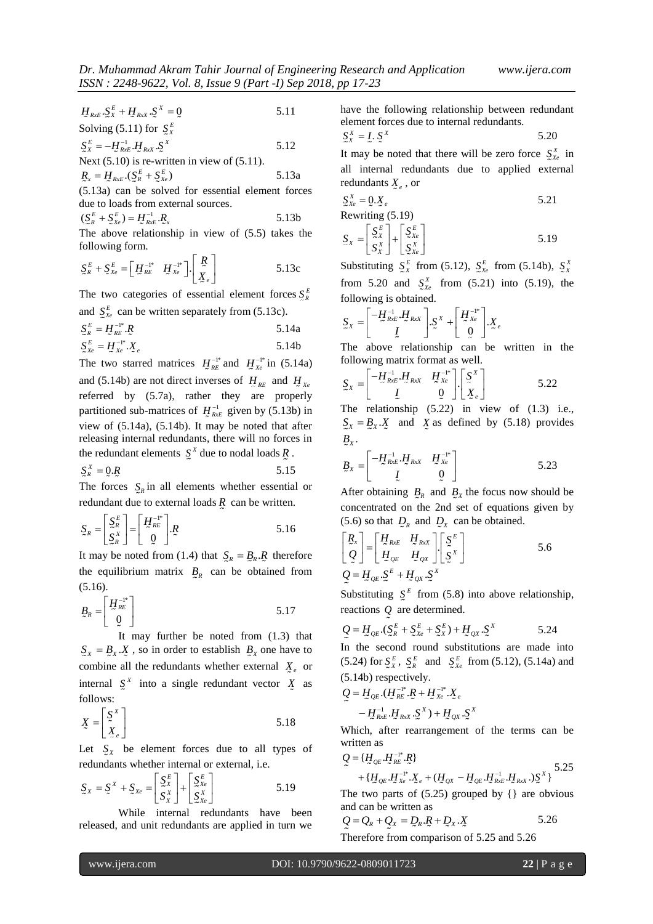$$
H_{Rx} \mathcal{L}_{X}^{E} + H_{Rx} \mathcal{L}_{Y}^{X} = 0
$$
 5.11  
Solving (5.11) for  $\mathcal{L}_{X}^{E}$ 

 $S_{X}^{E} = -H_{\mathcal{X}_{RxE}}^{-1}H_{RxX}} S_{X}^{X}$ 5.12

Next (5.10) is re-written in view of (5.11).

$$
\underline{R}_x = \underline{H}_{RxE} \cdot (\underline{S}_R^E + \underline{S}_{Xe}^E)
$$
 5.13a  
(5.13a) can be solved for essential element forces

due to loads from external sources.

$$
(\mathcal{S}_R^E + \mathcal{S}_{Xe}^E) = H_{Rx}^{-1} R_x
$$
 5.13b

The above relationship in view of (5.5) takes the following form.

$$
\underline{S}_{R}^{E} + \underline{S}_{Xe}^{E} = \begin{bmatrix} H_{RE}^{-1*} & H_{Xe}^{-1*} \end{bmatrix} \begin{bmatrix} R \\ \underline{X}_{e} \end{bmatrix}
$$
 5.13c

The two categories of essential element forces  $\sum_{k=1}^{R}$ and  $S_{X_e}^E$  can be written separately from (5.13c).

$$
\mathcal{S}_R^E = \mathcal{H}_{RE}^{-1*} \mathcal{R} \tag{5.14a}
$$

$$
\mathbf{S}_{\mathbf{X}e}^{E} = \mathbf{H}_{\mathbf{X}e}^{-1*} \mathbf{X}_{e}
$$

Using the specific of the specific of the specific of the specific of the specific of the specific of the specific of the specific of the specific of the specific of the specific of the specific of the specific of the spe The two starred matrices  $H^{-1*}_{RE}$  and  $H^{-1*}_{Xe}$  in (5.14a) and (5.14b) are not direct inverses of  $H_{RE}$  and  $H_{Xe}$ referred by (5.7a), rather they are properly partitioned sub-matrices of  $H_{RxE}^{-1}$  given by (5.13b) in view of (5.14a), (5.14b). It may be noted that after releasing internal redundants, there will no forces in the redundant elements  $S^x$  due to nodal loads  $\overline{R}$ .

$$
S_R^X = 0.R
$$
 5.15

The forces  $S_R$  in all elements whether essential or redundant due to external loads *R* can be written.

$$
S_R = \begin{bmatrix} S_R^E \\ S_R^X \end{bmatrix} = \begin{bmatrix} H_{RE}^{-1*} \\ 0 \end{bmatrix} R
$$
 5.16

It may be noted from (1.4) that  $S_R = B_R \cdot R$  therefore the equilibrium matrix  $B_R$  can be obtained from (5.16).

$$
B_R = \begin{bmatrix} H_{RE}^{-1*} \\ 0 \end{bmatrix} \tag{5.17}
$$

It may further be noted from (1.3) that  $S_x = B_x \cdot X$ , so in order to establish  $B_x$  one have to combine all the redundants whether external  $\chi_e$  or internal  $S^X$  into a single redundant vector  $\overline{X}$  as follows:

$$
X = \begin{bmatrix} \Sigma^X \\ X_e \end{bmatrix} \tag{5.18}
$$

Let  $\int_{X}$  be element forces due to all types of redundants whether internal or external, i.e.

$$
\mathbf{S}_X = \mathbf{S}^X + \mathbf{S}_{Xe} = \begin{bmatrix} \mathbf{S}_X^E \\ \mathbf{S}_X^X \end{bmatrix} + \begin{bmatrix} \mathbf{S}_{Xe}^E \\ \mathbf{S}_{Xe}^X \end{bmatrix}
$$
 5.19

While internal redundants have been released, and unit redundants are applied in turn we have the following relationship between redundant element forces due to internal redundants.

$$
S_X^X = L \cdot S_X^X \tag{5.20}
$$

It may be noted that there will be zero force  $S_{X_e}^{\alpha}$  in all internal redundants due to applied external redundants *X e* , or

$$
S_{X_e}^X = 0.\overline{X}_e
$$
  
Rewriting (5.19) 5.21

$$
\mathbf{S}_x = \begin{bmatrix} \mathbf{S}_x^E \\ \mathbf{S}_x^X \end{bmatrix} + \begin{bmatrix} \mathbf{S}_{xe}^E \\ \mathbf{S}_{xe}^X \end{bmatrix}
$$
 5.19

Substituting  $S_x^E$  from (5.12),  $S_{x}^E$  from (5.14b),  $S_x^X$ from 5.20 and  $S_{X_e}^X$  from (5.21) into (5.19), the following is obtained.

$$
\mathbf{S}_{X} = \begin{bmatrix} -H_{RxE}^{-1} \cdot H_{RxX} \\ I \end{bmatrix} \cdot \mathbf{S}^{X} + \begin{bmatrix} H_{Xe}^{-1*} \\ 0 \end{bmatrix} \cdot \mathbf{X}_{e}
$$

The above relationship can be written in the following matrix format as well.

$$
S_X = \begin{bmatrix} -H_{Rx}^{-1}H_{Rx} & H_{Xe}^{-1*} \\ I & 0 \end{bmatrix} \begin{bmatrix} S^X \\ X_e \end{bmatrix}
$$
 5.22

The relationship (5.22) in view of (1.3) i.e.,  $S_x = B_x \cdot X$  and X as defined by (5.18) provides  $B_{\rm x}$ .

$$
B_{X} = \begin{bmatrix} -H_{Rx}^{-1} & H_{Rx} & H_{Xe}^{-1*} \\ I & 0 \end{bmatrix}
$$
 5.23

After obtaining  $B_R$  and  $B_X$  the focus now should be concentrated on the 2nd set of equations given by (5.6) so that  $D_R$  and  $D_X$  can be obtained.

$$
\begin{bmatrix} R_x \\ Q \end{bmatrix} = \begin{bmatrix} H_{RxE} & H_{RxX} \\ H_{QE} & H_{Qx} \end{bmatrix} \begin{bmatrix} \Sigma^E \\ \Sigma^X \end{bmatrix}
$$
 5.6  

$$
Q = H_{QE} \cdot \Sigma^E + H_{Qx} \cdot \Sigma^X
$$

Substituting  $S<sup>E</sup>$  from (5.8) into above relationship, reactions *Q* are determined.

$$
Q = H_{QE} \cdot (S_R^E + S_{Xe}^E + S_X^E) + H_{QX} \cdot S^X
$$
 5.24

In the second round substitutions are made into  $(5.24)$  for  $S_{X}^{E}$ ,  $S_{R}^{E}$  and  $S_{Xe}^{E}$  from (5.12), (5.14a) and (5.14b) respectively.

$$
Q = H_{QE}.(H_{RE}^{-1*}.R + H_{Xe}^{-1*}.X_e
$$

$$
- H_{RxE}^{-1}.H_{RxX}.S^X) + H_{QX}.S^X
$$

Which, after rearrangement of the terms can be written as

$$
Q = \{H_{QE}.H_{RE}^{-1*}.R\}
$$
  
+  $\{H_{QE}.H_{Xe}^{-1*}.X_e + (H_{QX} - H_{QE}.H_{Rx}^{-1}.H_{Rx})\}$  5.25

The two parts of  $(5.25)$  grouped by  $\{\}$  are obvious and can be written as

$$
Q = Q_R + Q_x = D_R \cdot R + D_x \cdot X
$$
5.26  
Therefore from comparison of 5.25 and 5.26